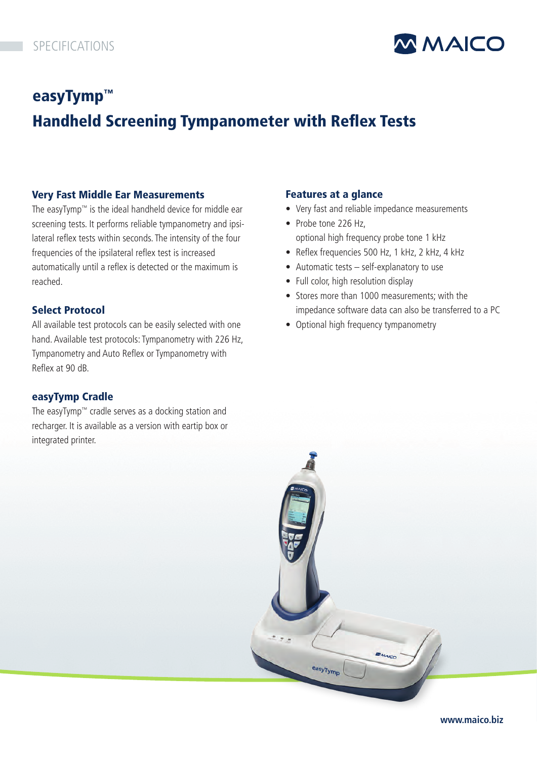

# easyTymp™ Handheld Screening Tympanometer with Reflex Tests

#### Very Fast Middle Ear Measurements

The easyTymp™ is the ideal handheld device for middle ear screening tests. It performs reliable tympanometry and ipsilateral reflex tests within seconds. The intensity of the four frequencies of the ipsilateral reflex test is increased automatically until a reflex is detected or the maximum is reached.

#### Select Protocol

All available test protocols can be easily selected with one hand. Available test protocols: Tympanometry with 226 Hz, Tympanometry and Auto Reflex or Tympanometry with Reflex at 90 dB.

### easyTymp Cradle

The easyTymp™ cradle serves as a docking station and recharger. It is available as a version with eartip box or integrated printer.

#### Features at a glance

- Very fast and reliable impedance measurements
- Probe tone 226 Hz, optional high frequency probe tone 1 kHz
- Reflex frequencies 500 Hz, 1 kHz, 2 kHz, 4 kHz
- Automatic tests self-explanatory to use
- Full color, high resolution display
- Stores more than 1000 measurements: with the impedance software data can also be transferred to a PC
- Optional high frequency tympanometry